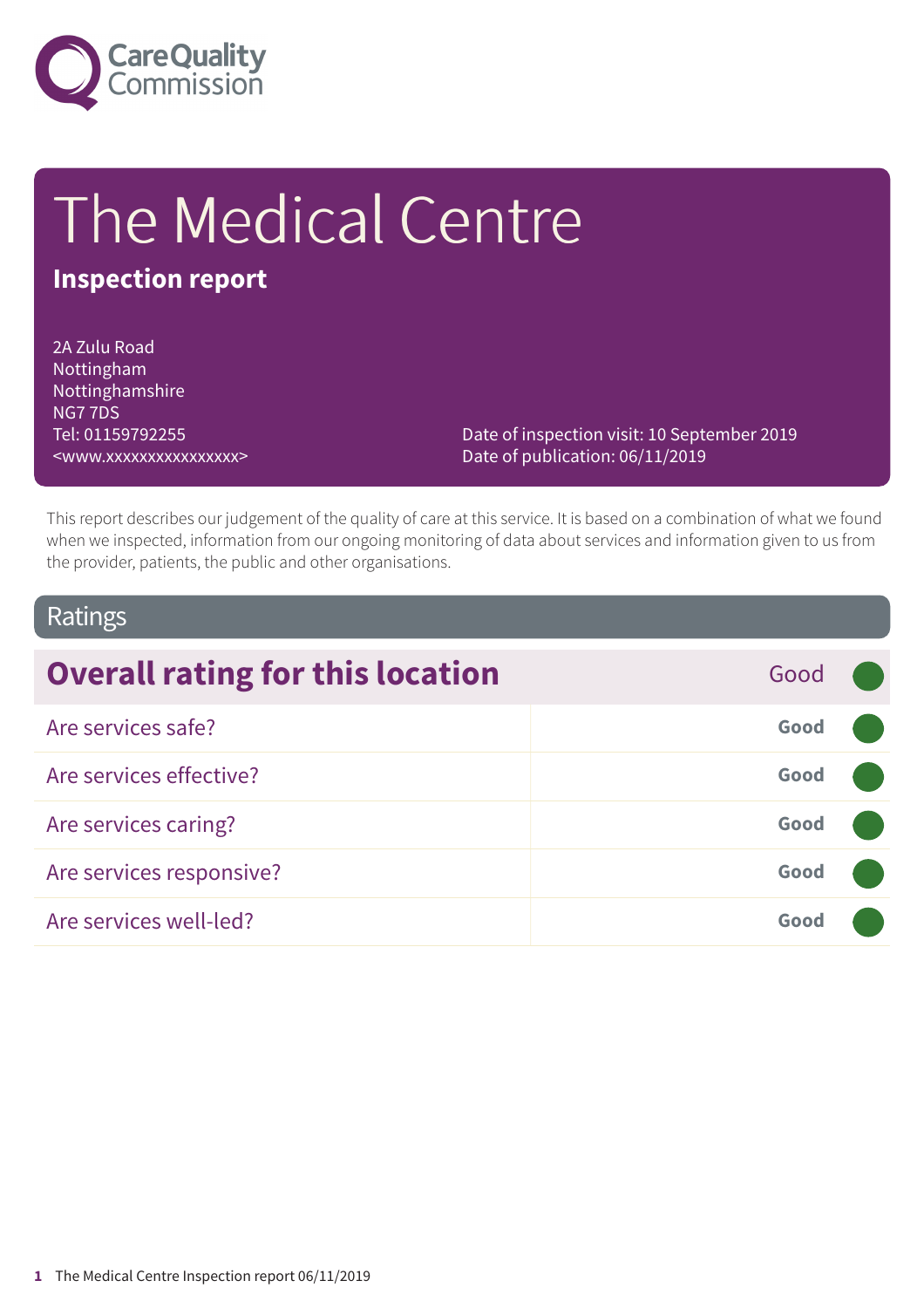

# The Medical Centre

# **Inspection report**

2A Zulu Road Nottingham Nottinghamshire NG7 7DS Tel: 01159792255 <www.xxxxxxxxxxxxxxxx>

Date of inspection visit: 10 September 2019 Date of publication: 06/11/2019

This report describes our judgement of the quality of care at this service. It is based on a combination of what we found when we inspected, information from our ongoing monitoring of data about services and information given to us from the provider, patients, the public and other organisations.

### Ratings

| <b>Overall rating for this location</b> | Good |  |
|-----------------------------------------|------|--|
| Are services safe?                      | Good |  |
| Are services effective?                 | Good |  |
| Are services caring?                    | Good |  |
| Are services responsive?                | Good |  |
| Are services well-led?                  | Good |  |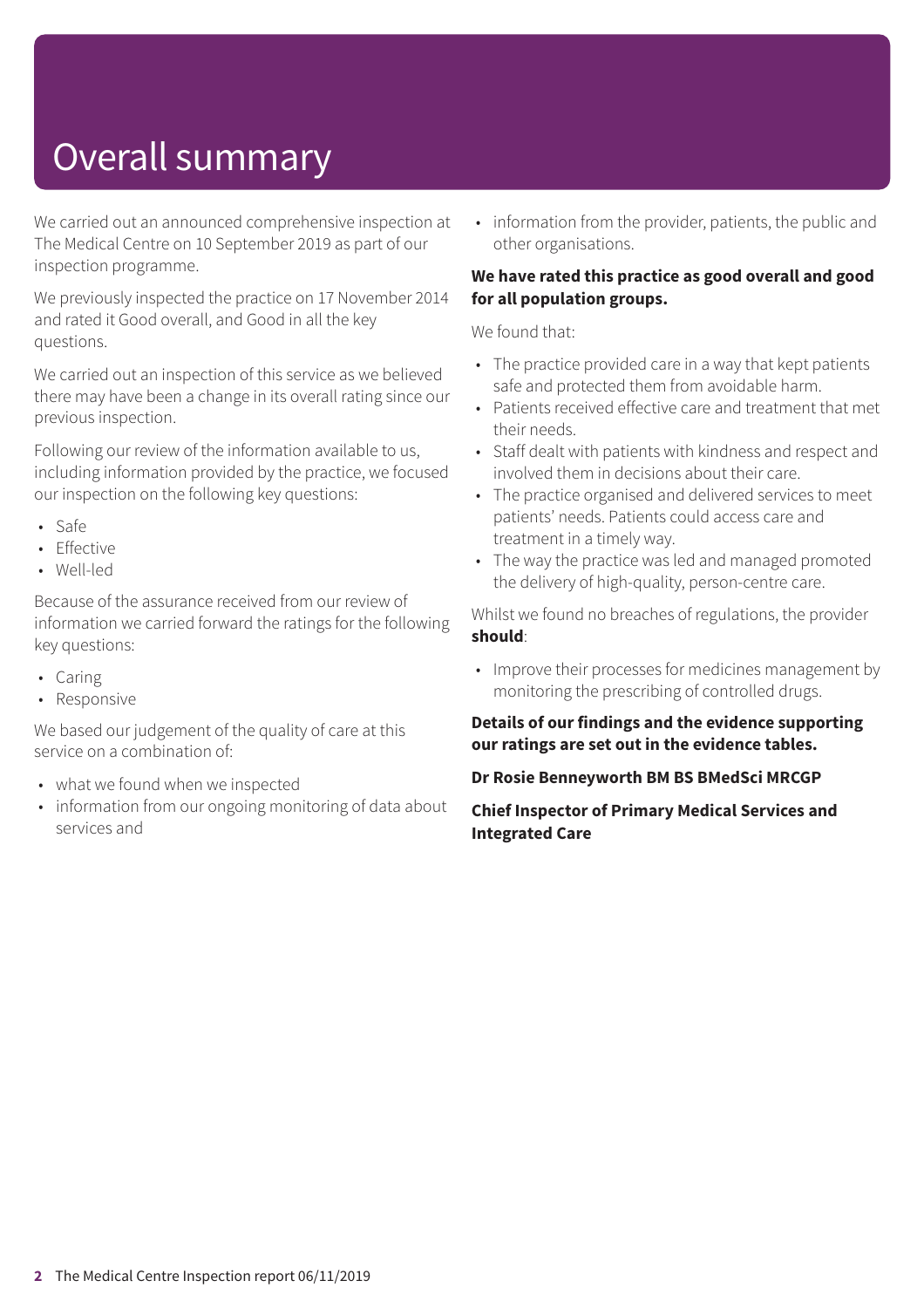# Overall summary

We carried out an announced comprehensive inspection at The Medical Centre on 10 September 2019 as part of our inspection programme.

We previously inspected the practice on 17 November 2014 and rated it Good overall, and Good in all the key questions.

We carried out an inspection of this service as we believed there may have been a change in its overall rating since our previous inspection.

Following our review of the information available to us, including information provided by the practice, we focused our inspection on the following key questions:

- Safe
- Effective
- Well-led

Because of the assurance received from our review of information we carried forward the ratings for the following key questions:

- Caring
- Responsive

We based our judgement of the quality of care at this service on a combination of:

- what we found when we inspected
- information from our ongoing monitoring of data about services and

• information from the provider, patients, the public and other organisations.

#### **We have rated this practice as good overall and good for all population groups.**

We found that:

- The practice provided care in a way that kept patients safe and protected them from avoidable harm.
- Patients received effective care and treatment that met their needs.
- Staff dealt with patients with kindness and respect and involved them in decisions about their care.
- The practice organised and delivered services to meet patients' needs. Patients could access care and treatment in a timely way.
- The way the practice was led and managed promoted the delivery of high-quality, person-centre care.

Whilst we found no breaches of regulations, the provider **should**:

• Improve their processes for medicines management by monitoring the prescribing of controlled drugs.

#### **Details of our findings and the evidence supporting our ratings are set out in the evidence tables.**

#### **Dr Rosie Benneyworth BM BS BMedSci MRCGP**

**Chief Inspector of Primary Medical Services and Integrated Care**